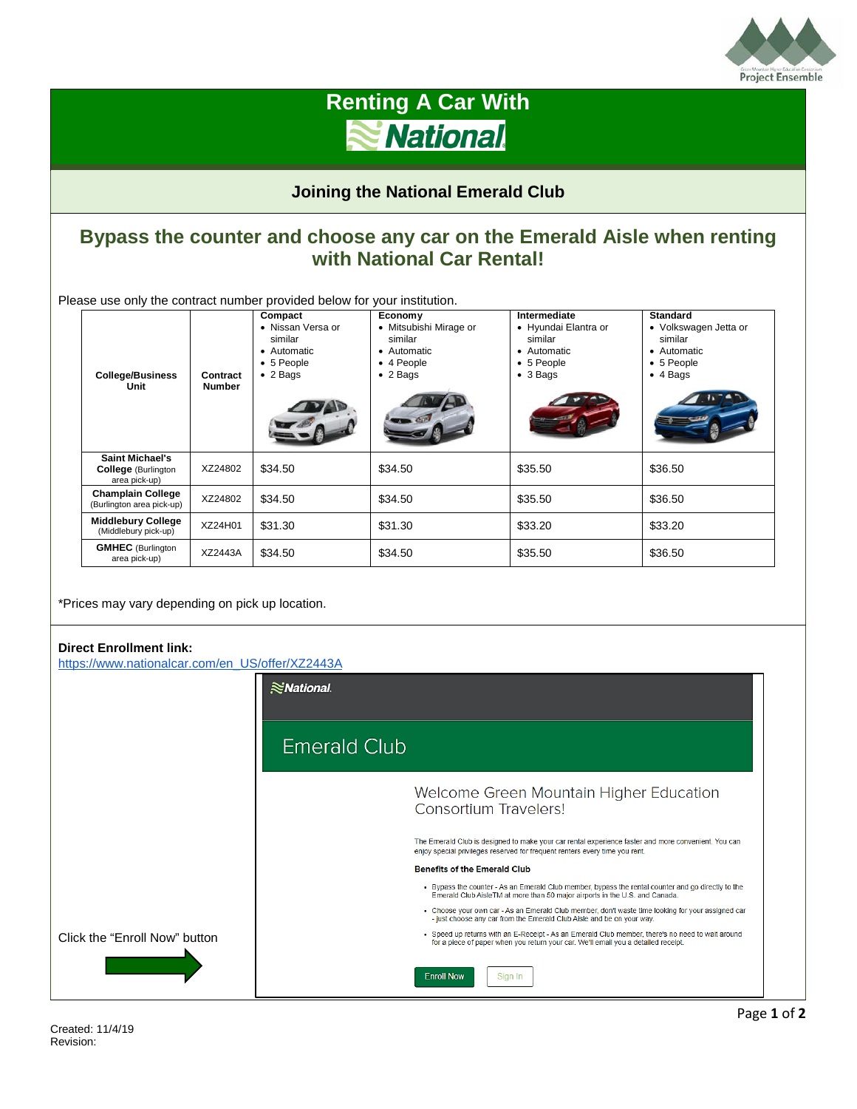

## **Renting A Car With** National.

**Joining the National Emerald Club**

### **Bypass the counter and choose any car on the Emerald Aisle when renting with National Car Rental!**

Please use only the contract number provided below for your institution.

| <b>College/Business</b><br>Unit                                       | Contract<br><b>Number</b> | Compact<br>• Nissan Versa or<br>similar<br>• Automatic<br>• 5 People<br>$\bullet$ 2 Bags | Economy<br>• Mitsubishi Mirage or<br>similar<br>• Automatic<br>$\bullet$ 4 People<br>$\bullet$ 2 Bags | Intermediate<br>• Hyundai Elantra or<br>similar<br>• Automatic<br>• 5 People<br>$\bullet$ 3 Bags | <b>Standard</b><br>• Volkswagen Jetta or<br>similar<br>• Automatic<br>• 5 People<br>$\bullet$ 4 Bags |
|-----------------------------------------------------------------------|---------------------------|------------------------------------------------------------------------------------------|-------------------------------------------------------------------------------------------------------|--------------------------------------------------------------------------------------------------|------------------------------------------------------------------------------------------------------|
| <b>Saint Michael's</b><br><b>College</b> (Burlington<br>area pick-up) | XZ24802                   | \$34.50                                                                                  | \$34.50                                                                                               | \$35.50                                                                                          | \$36.50                                                                                              |
| <b>Champlain College</b><br>(Burlington area pick-up)                 | XZ24802                   | \$34.50                                                                                  | \$34.50                                                                                               | \$35.50                                                                                          | \$36.50                                                                                              |
| <b>Middlebury College</b><br>(Middlebury pick-up)                     | XZ24H01                   | \$31.30                                                                                  | \$31.30                                                                                               | \$33.20                                                                                          | \$33.20                                                                                              |
| <b>GMHEC</b> (Burlington<br>area pick-up)                             | XZ2443A                   | \$34.50                                                                                  | \$34.50                                                                                               | \$35.50                                                                                          | \$36.50                                                                                              |

\*Prices may vary depending on pick up location.

#### **Direct Enrollment link:**

[https://www.nationalcar.com/en\\_US/offer/XZ2443A](https://www.nationalcar.com/en_US/offer/XZ2443A)